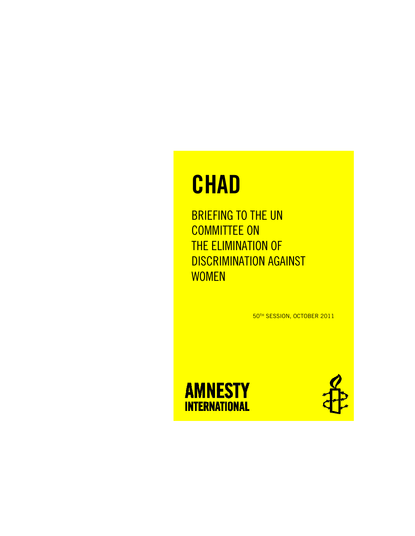# **CHAD**

BRIEFING TO THE UN COMMITTEE ON THE ELIMINATION OF DISCRIMINATION AGAINST **WOMEN** 

**50TH SESSION, OCTOBER 2011** 



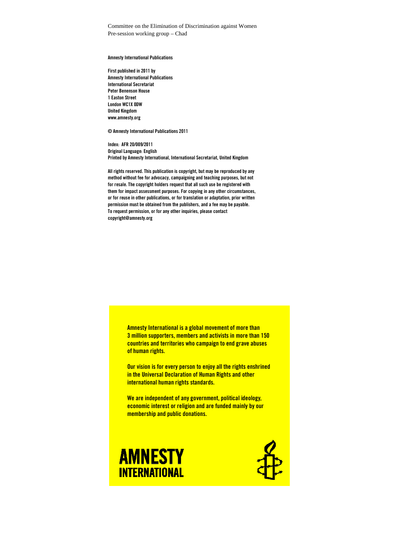Committee on the Elimination of Discrimination against Women Pre-session working group – Chad

**Amnesty International Publications** 

**First published in 2011 by Amnesty International Publications International Secretariat Peter Benenson House 1 Easton Street London WC1X 0DW United Kingdom www.amnesty.org** 

**© Amnesty International Publications 2011** 

**Index: AFR 20/009/2011 Original Language: English Printed by Amnesty International, International Secretariat, United Kingdom** 

**All rights reserved. This publication is copyright, but may be reproduced by any method without fee for advocacy, campaigning and teaching purposes, but not for resale. The copyright holders request that all such use be registered with them for impact assessment purposes. For copying in any other circumstances, or for reuse in other publications, or for translation or adaptation, prior written permission must be obtained from the publishers, and a fee may be payable. To request permission, or for any other inquiries, please contact copyright@amnesty.org** 

> **Amnesty International is a global movement of more than 3 million supporters, members and activists in more than 150 countries and territories who campaign to end grave abuses of human rights.**

> **Our vision is for every person to enjoy all the rights enshrined in the Universal Declaration of Human Rights and other international human rights standards.**

**We are independent of any government, political ideology, economic interest or religion and are funded mainly by our membership and public donations.** 

**AMNESTY INTERNATIONAL** 

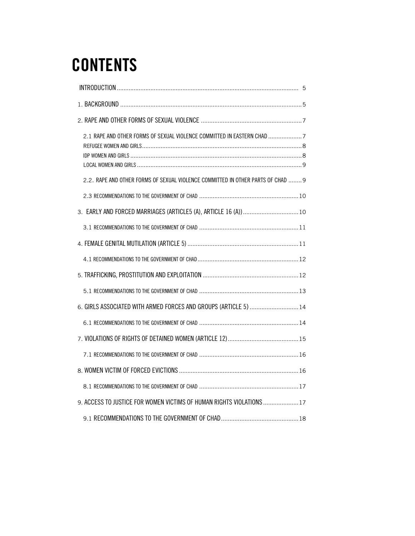## **CONTENTS**

| 2.1 RAPE AND OTHER FORMS OF SEXUAL VIOLENCE COMMITTED IN EASTERN CHAD  7         |
|----------------------------------------------------------------------------------|
| 2.2. RAPE AND OTHER FORMS OF SEXUAL VIOLENCE COMMITTED IN OTHER PARTS OF CHAD  9 |
|                                                                                  |
|                                                                                  |
|                                                                                  |
|                                                                                  |
|                                                                                  |
|                                                                                  |
|                                                                                  |
| 6. GIRLS ASSOCIATED WITH ARMED FORCES AND GROUPS (ARTICLE 5)  14                 |
|                                                                                  |
|                                                                                  |
|                                                                                  |
|                                                                                  |
|                                                                                  |
| 9. ACCESS TO JUSTICE FOR WOMEN VICTIMS OF HUMAN RIGHTS VIOLATIONS  17            |
|                                                                                  |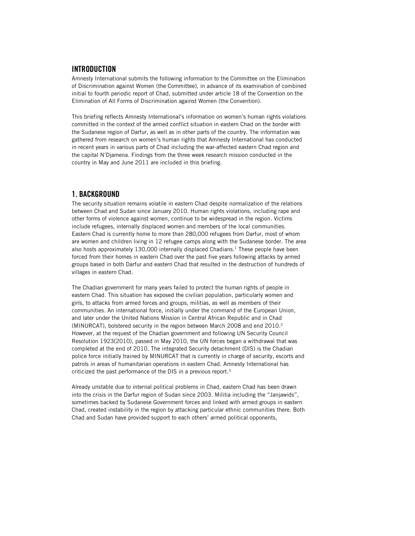#### **INTRODUCTION**

Amnesty International submits the following information to the Committee on the Elimination of Discrimination against Women (the Committee), in advance of its examination of combined initial to fourth periodic report of Chad, submitted under article 18 of the Convention on the Elimination of All Forms of Discrimination against Women (the Convention).

This briefing reflects Amnesty International's information on women's human rights violations committed in the context of the armed conflict situation in eastern Chad on the border with the Sudanese region of Darfur, as well as in other parts of the country. The information was gathered from research on women's human rights that Amnesty International has conducted in recent years in various parts of Chad including the war-affected eastern Chad region and the capital N'Djamena. Findings from the three week research mission conducted in the country in May and June 2011 are included in this briefing.

#### **1. BACKGROUND**

The security situation remains volatile in eastern Chad despite normalization of the relations between Chad and Sudan since January 2010. Human rights violations, including rape and other forms of violence against women, continue to be widespread in the region. Victims include refugees, internally displaced women and members of the local communities. Eastern Chad is currently home to more than 280,000 refugees from Darfur, most of whom are women and children living in 12 refugee camps along with the Sudanese border. The area also hosts approximately  $130,000$  internally displaced Chadians.<sup>1</sup> These people have been forced from their homes in eastern Chad over the past five years following attacks by armed groups based in both Darfur and eastern Chad that resulted in the destruction of hundreds of villages in eastern Chad.

The Chadian government for many years failed to protect the human rights of people in eastern Chad. This situation has exposed the civilian population, particularly women and girls, to attacks from armed forces and groups, militias, as well as members of their communities. An international force, initially under the command of the European Union, and later under the United Nations Mission in Central African Republic and in Chad (MINURCAT), bolstered security in the region between March 2008 and end 2010.<sup>2</sup> However, at the request of the Chadian government and following UN Security Council Resolution 1923(2010), passed in May 2010, the UN forces began a withdrawal that was completed at the end of 2010. The integrated Security detachment (DIS) is the Chadian police force initially trained by MINURCAT that is currently in charge of security, escorts and patrols in areas of humanitarian operations in eastern Chad. Amnesty International has criticized the past performance of the DIS in a previous report.<sup>3</sup>

Already unstable due to internal political problems in Chad, eastern Chad has been drawn into the crisis in the Darfur region of Sudan since 2003. Militia including the "Janjawids", sometimes backed by Sudanese Government forces and linked with armed groups in eastern Chad, created instability in the region by attacking particular ethnic communities there. Both Chad and Sudan have provided support to each others' armed political opponents,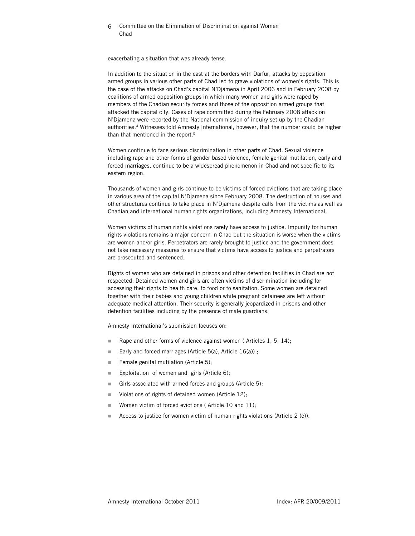exacerbating a situation that was already tense.

In addition to the situation in the east at the borders with Darfur, attacks by opposition armed groups in various other parts of Chad led to grave violations of women's rights. This is the case of the attacks on Chad's capital N'Djamena in April 2006 and in February 2008 by coalitions of armed opposition groups in which many women and girls were raped by members of the Chadian security forces and those of the opposition armed groups that attacked the capital city. Cases of rape committed during the February 2008 attack on N'Djamena were reported by the National commission of inquiry set up by the Chadian authorities.<sup>4</sup> Witnesses told Amnesty International, however, that the number could be higher than that mentioned in the report.<sup>5</sup>

Women continue to face serious discrimination in other parts of Chad. Sexual violence including rape and other forms of gender based violence, female genital mutilation, early and forced marriages, continue to be a widespread phenomenon in Chad and not specific to its eastern region.

Thousands of women and girls continue to be victims of forced evictions that are taking place in various area of the capital N'Djamena since February 2008. The destruction of houses and other structures continue to take place in N'Djamena despite calls from the victims as well as Chadian and international human rights organizations, including Amnesty International.

Women victims of human rights violations rarely have access to justice. Impunity for human rights violations remains a major concern in Chad but the situation is worse when the victims are women and/or girls. Perpetrators are rarely brought to justice and the government does not take necessary measures to ensure that victims have access to justice and perpetrators are prosecuted and sentenced.

Rights of women who are detained in prisons and other detention facilities in Chad are not respected. Detained women and girls are often victims of discrimination including for accessing their rights to health care, to food or to sanitation. Some women are detained together with their babies and young children while pregnant detainees are left without adequate medical attention. Their security is generally jeopardized in prisons and other detention facilities including by the presence of male guardians.

Amnesty International's submission focuses on:

- Rape and other forms of violence against women (Articles 1, 5, 14);
- **Early and forced marriages (Article 5(a), Article 16(a))**;
- Female genital mutilation (Article 5);
- Exploitation of women and girls (Article 6);
- Girls associated with armed forces and groups (Article 5);
- Violations of rights of detained women (Article 12);
- Women victim of forced evictions (Article 10 and 11);
- Access to justice for women victim of human rights violations (Article 2 (c)).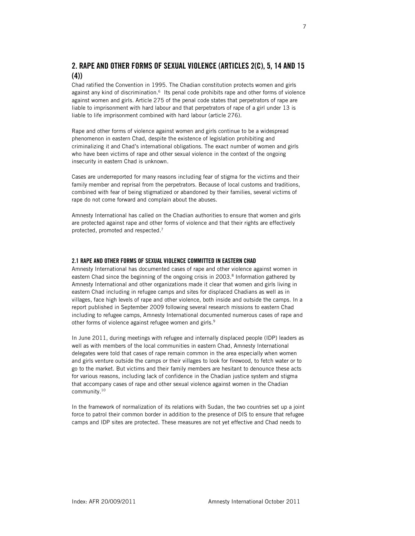#### **2. RAPE AND OTHER FORMS OF SEXUAL VIOLENCE (ARTICLES 2(C), 5, 14 AND 15 (4))**

Chad ratified the Convention in 1995. The Chadian constitution protects women and girls against any kind of discrimination.<sup>6</sup> Its penal code prohibits rape and other forms of violence against women and girls. Article 275 of the penal code states that perpetrators of rape are liable to imprisonment with hard labour and that perpetrators of rape of a girl under 13 is liable to life imprisonment combined with hard labour (article 276).

Rape and other forms of violence against women and girls continue to be a widespread phenomenon in eastern Chad, despite the existence of legislation prohibiting and criminalizing it and Chad's international obligations. The exact number of women and girls who have been victims of rape and other sexual violence in the context of the ongoing insecurity in eastern Chad is unknown.

Cases are underreported for many reasons including fear of stigma for the victims and their family member and reprisal from the perpetrators. Because of local customs and traditions, combined with fear of being stigmatized or abandoned by their families, several victims of rape do not come forward and complain about the abuses.

Amnesty International has called on the Chadian authorities to ensure that women and girls are protected against rape and other forms of violence and that their rights are effectively protected, promoted and respected.<sup>7</sup>

#### **2.1 RAPE AND OTHER FORMS OF SEXUAL VIOLENCE COMMITTED IN EASTERN CHAD**

Amnesty International has documented cases of rape and other violence against women in eastern Chad since the beginning of the ongoing crisis in 2003.<sup>8</sup> Information gathered by Amnesty International and other organizations made it clear that women and girls living in eastern Chad including in refugee camps and sites for displaced Chadians as well as in villages, face high levels of rape and other violence, both inside and outside the camps. In a report published in September 2009 following several research missions to eastern Chad including to refugee camps, Amnesty International documented numerous cases of rape and other forms of violence against refugee women and girls.<sup>9</sup>

In June 2011, during meetings with refugee and internally displaced people (IDP) leaders as well as with members of the local communities in eastern Chad, Amnesty International delegates were told that cases of rape remain common in the area especially when women and girls venture outside the camps or their villages to look for firewood, to fetch water or to go to the market. But victims and their family members are hesitant to denounce these acts for various reasons, including lack of confidence in the Chadian justice system and stigma that accompany cases of rape and other sexual violence against women in the Chadian community.<sup>10</sup>

In the framework of normalization of its relations with Sudan, the two countries set up a joint force to patrol their common border in addition to the presence of DIS to ensure that refugee camps and IDP sites are protected. These measures are not yet effective and Chad needs to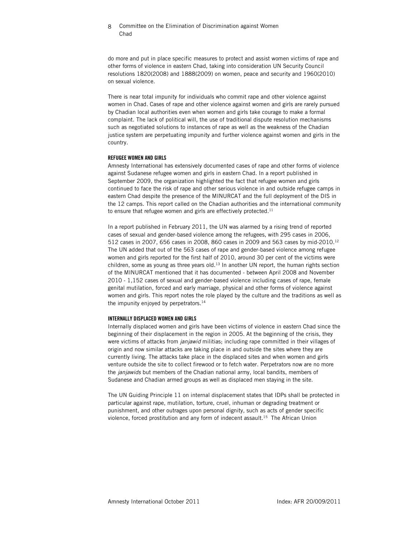do more and put in place specific measures to protect and assist women victims of rape and other forms of violence in eastern Chad, taking into consideration UN Security Council resolutions 1820(2008) and 1888(2009) on women, peace and security and 1960(2010) on sexual violence.

There is near total impunity for individuals who commit rape and other violence against women in Chad. Cases of rape and other violence against women and girls are rarely pursued by Chadian local authorities even when women and girls take courage to make a formal complaint. The lack of political will, the use of traditional dispute resolution mechanisms such as negotiated solutions to instances of rape as well as the weakness of the Chadian justice system are perpetuating impunity and further violence against women and girls in the country.

#### **REFUGEE WOMEN AND GIRLS**

Amnesty International has extensively documented cases of rape and other forms of violence against Sudanese refugee women and girls in eastern Chad. In a report published in September 2009, the organization highlighted the fact that refugee women and girls continued to face the risk of rape and other serious violence in and outside refugee camps in eastern Chad despite the presence of the MINURCAT and the full deployment of the DIS in the 12 camps. This report called on the Chadian authorities and the international community to ensure that refugee women and girls are effectively protected. $11$ 

In a report published in February 2011, the UN was alarmed by a rising trend of reported cases of sexual and gender-based violence among the refugees, with 295 cases in 2006, 512 cases in 2007, 656 cases in 2008, 860 cases in 2009 and 563 cases by mid-2010.<sup>12</sup> The UN added that out of the 563 cases of rape and gender-based violence among refugee women and girls reported for the first half of 2010, around 30 per cent of the victims were children, some as young as three years old.<sup>13</sup> In another UN report, the human rights section of the MINURCAT mentioned that it has documented - between April 2008 and November 2010 - 1,152 cases of sexual and gender-based violence including cases of rape, female genital mutilation, forced and early marriage, physical and other forms of violence against women and girls. This report notes the role played by the culture and the traditions as well as the impunity enjoyed by perpetrators.<sup>14</sup>

#### **INTERNALLY DISPLACED WOMEN AND GIRLS**

Internally displaced women and girls have been victims of violence in eastern Chad since the beginning of their displacement in the region in 2005. At the beginning of the crisis, they were victims of attacks from *janjawid* militias; including rape committed in their villages of origin and now similar attacks are taking place in and outside the sites where they are currently living. The attacks take place in the displaced sites and when women and girls venture outside the site to collect firewood or to fetch water. Perpetrators now are no more the *janjawids* but members of the Chadian national army, local bandits, members of Sudanese and Chadian armed groups as well as displaced men staying in the site.

The UN Guiding Principle 11 on internal displacement states that IDPs shall be protected in particular against rape, mutilation, torture, cruel, inhuman or degrading treatment or punishment, and other outrages upon personal dignity, such as acts of gender specific violence, forced prostitution and any form of indecent assault.<sup>15</sup> The African Union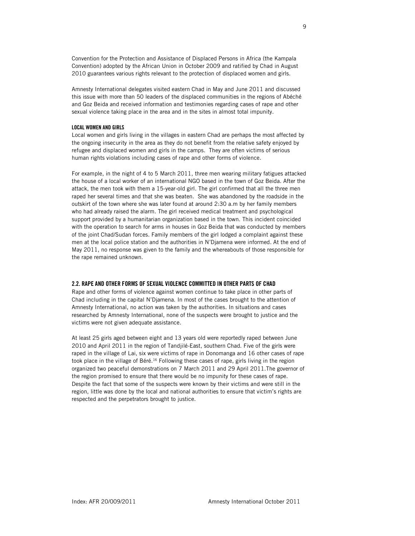Convention for the Protection and Assistance of Displaced Persons in Africa (the Kampala Convention) adopted by the African Union in October 2009 and ratified by Chad in August 2010 guarantees various rights relevant to the protection of displaced women and girls.

Amnesty International delegates visited eastern Chad in May and June 2011 and discussed this issue with more than 50 leaders of the displaced communities in the regions of Abéché and Goz Beida and received information and testimonies regarding cases of rape and other sexual violence taking place in the area and in the sites in almost total impunity.

#### **LOCAL WOMEN AND GIRLS**

Local women and girls living in the villages in eastern Chad are perhaps the most affected by the ongoing insecurity in the area as they do not benefit from the relative safety enjoyed by refugee and displaced women and girls in the camps. They are often victims of serious human rights violations including cases of rape and other forms of violence.

For example, in the night of 4 to 5 March 2011, three men wearing military fatigues attacked the house of a local worker of an international NGO based in the town of Goz Beida. After the attack, the men took with them a 15-year-old girl. The girl confirmed that all the three men raped her several times and that she was beaten. She was abandoned by the roadside in the outskirt of the town where she was later found at around 2:30 a.m by her family members who had already raised the alarm. The girl received medical treatment and psychological support provided by a humanitarian organization based in the town. This incident coincided with the operation to search for arms in houses in Goz Beida that was conducted by members of the joint Chad/Sudan forces. Family members of the girl lodged a complaint against these men at the local police station and the authorities in N'Djamena were informed. At the end of May 2011, no response was given to the family and the whereabouts of those responsible for the rape remained unknown.

#### **2.2. RAPE AND OTHER FORMS OF SEXUAL VIOLENCE COMMITTED IN OTHER PARTS OF CHAD**

Rape and other forms of violence against women continue to take place in other parts of Chad including in the capital N'Djamena. In most of the cases brought to the attention of Amnesty International, no action was taken by the authorities. In situations and cases researched by Amnesty International, none of the suspects were brought to justice and the victims were not given adequate assistance.

At least 25 girls aged between eight and 13 years old were reportedly raped between June 2010 and April 2011 in the region of Tandjilé-East, southern Chad. Five of the girls were raped in the village of Lai, six were victims of rape in Donomanga and 16 other cases of rape took place in the village of Béré.<sup>16</sup> Following these cases of rape, girls living in the region organized two peaceful demonstrations on 7 March 2011 and 29 April 2011.The governor of the region promised to ensure that there would be no impunity for these cases of rape. Despite the fact that some of the suspects were known by their victims and were still in the region, little was done by the local and national authorities to ensure that victim's rights are respected and the perpetrators brought to justice.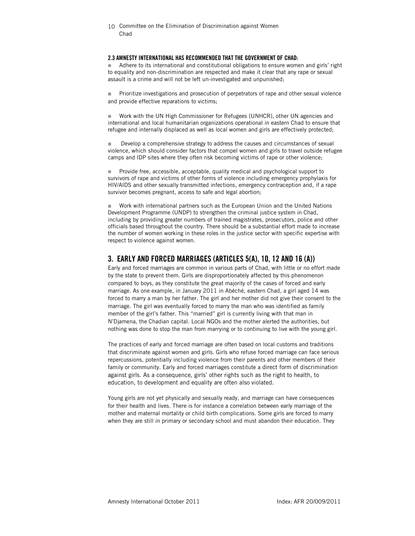#### **2.3 AMNESTY INTERNATIONAL HAS RECOMMENDED THAT THE GOVERNMENT OF CHAD:**

Adhere to its international and constitutional obligations to ensure women and girls' right to equality and non-discrimination are respected and make it clear that any rape or sexual assault is a crime and will not be left un-investigated and unpunished;

**Prioritize investigations and prosecution of perpetrators of rape and other sexual violence** and provide effective reparations to victims;

 Work with the UN High Commissioner for Refugees (UNHCR), other UN agencies and international and local humanitarian organizations operational in eastern Chad to ensure that refugee and internally displaced as well as local women and girls are effectively protected;

Develop a comprehensive strategy to address the causes and circumstances of sexual violence, which should consider factors that compel women and girls to travel outside refugee camps and IDP sites where they often risk becoming victims of rape or other violence;

 Provide free, accessible, acceptable, quality medical and psychological support to survivors of rape and victims of other forms of violence including emergency prophylaxis for HIV/AIDS and other sexually transmitted infections, emergency contraception and, if a rape survivor becomes pregnant, access to safe and legal abortion;

 Work with international partners such as the European Union and the United Nations Development Programme (UNDP) to strengthen the criminal justice system in Chad, including by providing greater numbers of trained magistrates, prosecutors, police and other officials based throughout the country. There should be a substantial effort made to increase the number of women working in these roles in the justice sector with specific expertise with respect to violence against women.

#### **3. EARLY AND FORCED MARRIAGES (ARTICLES 5(A), 10, 12 AND 16 (A))**

Early and forced marriages are common in various parts of Chad, with little or no effort made by the state to prevent them. Girls are disproportionately affected by this phenomenon compared to boys, as they constitute the great majority of the cases of forced and early marriage. As one example, in January 2011 in Abéché, eastern Chad, a girl aged 14 was forced to marry a man by her father. The girl and her mother did not give their consent to the marriage. The girl was eventually forced to marry the man who was identified as family member of the girl's father. This "married" girl is currently living with that man in N'Djamena, the Chadian capital. Local NGOs and the mother alerted the authorities, but nothing was done to stop the man from marrying or to continuing to live with the young girl.

The practices of early and forced marriage are often based on local customs and traditions that discriminate against women and girls. Girls who refuse forced marriage can face serious repercussions, potentially including violence from their parents and other members of their family or community. Early and forced marriages constitute a direct form of discrimination against girls. As a consequence, girls' other rights such as the right to health, to education, to development and equality are often also violated.

Young girls are not yet physically and sexually ready, and marriage can have consequences for their health and lives. There is for instance a correlation between early marriage of the mother and maternal mortality or child birth complications. Some girls are forced to marry when they are still in primary or secondary school and must abandon their education. They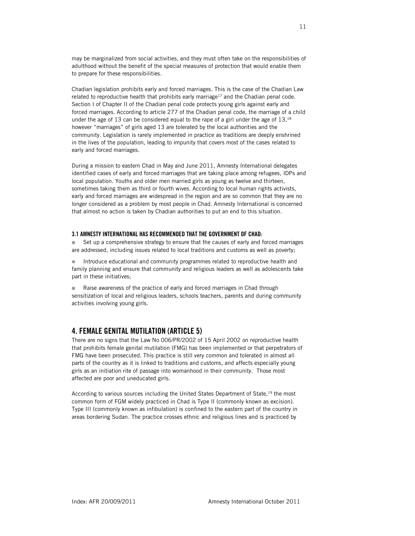may be marginalized from social activities, and they must often take on the responsibilities of adulthood without the benefit of the special measures of protection that would enable them to prepare for these responsibilities.

Chadian legislation prohibits early and forced marriages. This is the case of the Chadian Law related to reproductive health that prohibits early marriage<sup>17</sup> and the Chadian penal code. Section I of Chapter II of the Chadian penal code protects young girls against early and forced marriages. According to article 277 of the Chadian penal code, the marriage of a child under the age of 13 can be considered equal to the rape of a girl under the age of  $13<sup>18</sup>$ however "marriages" of girls aged 13 are tolerated by the local authorities and the community. Legislation is rarely implemented in practice as traditions are deeply enshrined in the lives of the population, leading to impunity that covers most of the cases related to early and forced marriages.

During a mission to eastern Chad in May and June 2011, Amnesty International delegates identified cases of early and forced marriages that are taking place among refugees, IDPs and local population. Youths and older men married girls as young as twelve and thirteen, sometimes taking them as third or fourth wives. According to local human rights activists, early and forced marriages are widespread in the region and are so common that they are no longer considered as a problem by most people in Chad. Amnesty International is concerned that almost no action is taken by Chadian authorities to put an end to this situation.

#### **3.1 AMNESTY INTERNATIONAL HAS RECOMMENDED THAT THE GOVERNMENT OF CHAD:**

 Set up a comprehensive strategy to ensure that the causes of early and forced marriages are addressed, including issues related to local traditions and customs as well as poverty;

Introduce educational and community programmes related to reproductive health and family planning and ensure that community and religious leaders as well as adolescents take part in these initiatives;

 Raise awareness of the practice of early and forced marriages in Chad through sensitization of local and religious leaders, schools teachers, parents and during community activities involving young girls.

#### **4. FEMALE GENITAL MUTILATION (ARTICLE 5)**

There are no signs that the Law No 006/PR/2002 of 15 April 2002 on reproductive health that prohibits female genital mutilation (FMG) has been implemented or that perpetrators of FMG have been prosecuted. This practice is still very common and tolerated in almost all parts of the country as it is linked to traditions and customs, and affects especially young girls as an initiation rite of passage into womanhood in their community. Those most affected are poor and uneducated girls.

According to various sources including the United States Department of State,<sup>19</sup> the most common form of FGM widely practiced in Chad is Type II (commonly known as excision). Type III (commonly known as infibulation) is confined to the eastern part of the country in areas bordering Sudan. The practice crosses ethnic and religious lines and is practiced by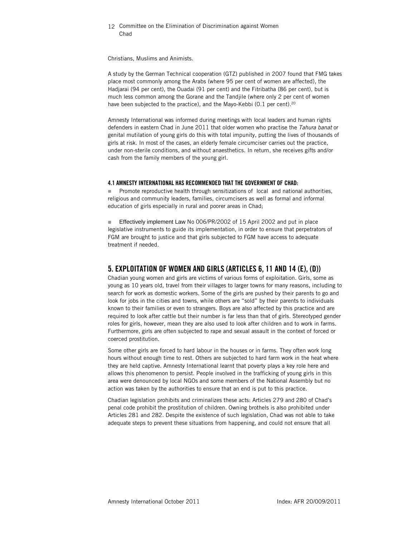Christians, Muslims and Animists.

A study by the German Technical cooperation (GTZ) published in 2007 found that FMG takes place most commonly among the Arabs (where 95 per cent of women are affected), the Hadjarai (94 per cent), the Ouadai (91 per cent) and the Fitribatha (86 per cent), but is much less common among the Gorane and the Tandjile (where only 2 per cent of women have been subjected to the practice), and the Mayo-Kebbi (0.1 per cent).<sup>20</sup>

Amnesty International was informed during meetings with local leaders and human rights defenders in eastern Chad in June 2011 that older women who practise the *Tahura banat* or genital mutilation of young girls do this with total impunity, putting the lives of thousands of girls at risk. In most of the cases, an elderly female circumciser carries out the practice, under non-sterile conditions, and without anaesthetics. In return, she receives gifts and/or cash from the family members of the young girl.

#### **4.1 AMNESTY INTERNATIONAL HAS RECOMMENDED THAT THE GOVERNMENT OF CHAD:**

 Promote reproductive health through sensitizations of local and national authorities, religious and community leaders, families, circumcisers as well as formal and informal education of girls especially in rural and poorer areas in Chad;

**Effectively implement Law No 006/PR/2002 of 15 April 2002 and put in place** legislative instruments to guide its implementation, in order to ensure that perpetrators of FGM are brought to justice and that girls subjected to FGM have access to adequate treatment if needed.

#### **5. EXPLOITATION OF WOMEN AND GIRLS (ARTICLES 6, 11 AND 14 (E), (D))**

Chadian young women and girls are victims of various forms of exploitation. Girls, some as young as 10 years old, travel from their villages to larger towns for many reasons, including to search for work as domestic workers. Some of the girls are pushed by their parents to go and look for jobs in the cities and towns, while others are "sold" by their parents to individuals known to their families or even to strangers. Boys are also affected by this practice and are required to look after cattle but their number is far less than that of girls. Stereotyped gender roles for girls, however, mean they are also used to look after children and to work in farms. Furthermore, girls are often subjected to rape and sexual assault in the context of forced or coerced prostitution.

Some other girls are forced to hard labour in the houses or in farms. They often work long hours without enough time to rest. Others are subjected to hard farm work in the heat where they are held captive. Amnesty International learnt that poverty plays a key role here and allows this phenomenon to persist. People involved in the trafficking of young girls in this area were denounced by local NGOs and some members of the National Assembly but no action was taken by the authorities to ensure that an end is put to this practice.

Chadian legislation prohibits and criminalizes these acts: Articles 279 and 280 of Chad's penal code prohibit the prostitution of children. Owning brothels is also prohibited under Articles 281 and 282. Despite the existence of such legislation, Chad was not able to take adequate steps to prevent these situations from happening, and could not ensure that all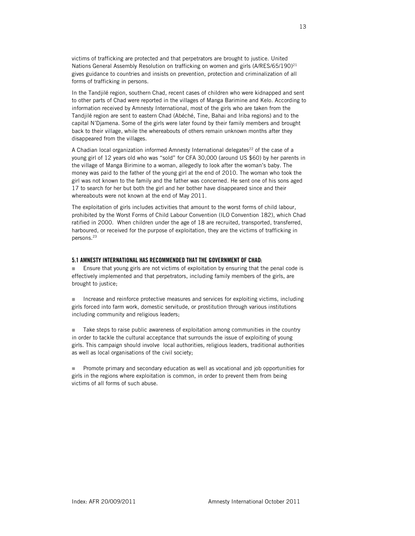victims of trafficking are protected and that perpetrators are brought to justice. United Nations General Assembly Resolution on trafficking on women and girls (A/RES/65/190)<sup>21</sup> gives guidance to countries and insists on prevention, protection and criminalization of all forms of trafficking in persons.

In the Tandjilé region, southern Chad, recent cases of children who were kidnapped and sent to other parts of Chad were reported in the villages of Manga Barimine and Kelo. According to information received by Amnesty International, most of the girls who are taken from the Tandjilé region are sent to eastern Chad (Abéché, Tine, Bahai and Iriba regions) and to the capital N'Djamena. Some of the girls were later found by their family members and brought back to their village, while the whereabouts of others remain unknown months after they disappeared from the villages.

A Chadian local organization informed Amnesty International delegates<sup>22</sup> of the case of a young girl of 12 years old who was "sold" for CFA 30,000 (around US \$60) by her parents in the village of Manga Birimine to a woman, allegedly to look after the woman's baby. The money was paid to the father of the young girl at the end of 2010. The woman who took the girl was not known to the family and the father was concerned. He sent one of his sons aged 17 to search for her but both the girl and her bother have disappeared since and their whereabouts were not known at the end of May 2011.

The exploitation of girls includes activities that amount to the worst forms of child labour, prohibited by the Worst Forms of Child Labour Convention (ILO Convention 182), which Chad ratified in 2000. When children under the age of 18 are recruited, transported, transferred, harboured, or received for the purpose of exploitation, they are the victims of trafficking in persons.<sup>23</sup>

#### **5.1 AMNESTY INTERNATIONAL HAS RECOMMENDED THAT THE GOVERNMENT OF CHAD:**

**Ensure that young girls are not victims of exploitation by ensuring that the penal code is** effectively implemented and that perpetrators, including family members of the girls, are brought to justice;

**Increase and reinforce protective measures and services for exploiting victims, including** girls forced into farm work, domestic servitude, or prostitution through various institutions including community and religious leaders;

■ Take steps to raise public awareness of exploitation among communities in the country in order to tackle the cultural acceptance that surrounds the issue of exploiting of young girls. This campaign should involve local authorities, religious leaders, traditional authorities as well as local organisations of the civil society;

**Promote primary and secondary education as well as vocational and job opportunities for** girls in the regions where exploitation is common, in order to prevent them from being victims of all forms of such abuse.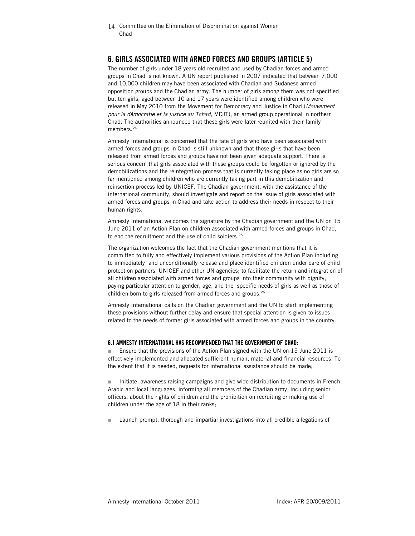#### **6. GIRLS ASSOCIATED WITH ARMED FORCES AND GROUPS (ARTICLE 5)**

The number of girls under 18 years old recruited and used by Chadian forces and armed groups in Chad is not known. A UN report published in 2007 indicated that between 7,000 and 10,000 children may have been associated with Chadian and Sudanese armed opposition groups and the Chadian army. The number of girls among them was not specified but ten girls, aged between 10 and 17 years were identified among children who were released in May 2010 from the Movement for Democracy and Justice in Chad (*Mouvement pour la démocratie et la justice au Tchad,* MDJT), an armed group operational in northern Chad. The authorities announced that these girls were later reunited with their family members.<sup>24</sup>

Amnesty International is concerned that the fate of girls who have been associated with armed forces and groups in Chad is still unknown and that those girls that have been released from armed forces and groups have not been given adequate support. There is serious concern that girls associated with these groups could be forgotten or ignored by the demobilizations and the reintegration process that is currently taking place as no girls are so far mentioned among children who are currently taking part in this demobilization and reinsertion process led by UNICEF. The Chadian government, with the assistance of the international community, should investigate and report on the issue of girls associated with armed forces and groups in Chad and take action to address their needs in respect to their human rights.

Amnesty International welcomes the signature by the Chadian government and the UN on 15 June 2011 of an Action Plan on children associated with armed forces and groups in Chad, to end the recruitment and the use of child soldiers.<sup>25</sup>

The organization welcomes the fact that the Chadian government mentions that it is committed to fully and effectively implement various provisions of the Action Plan including to immediately and unconditionally release and place identified children under care of child protection partners, UNICEF and other UN agencies; to facilitate the return and integration of all children associated with armed forces and groups into their community with dignity, paying particular attention to gender, age, and the specific needs of girls as well as those of children born to girls released from armed forces and groups.<sup>26</sup>

Amnesty International calls on the Chadian government and the UN to start implementing these provisions without further delay and ensure that special attention is given to issues related to the needs of former girls associated with armed forces and groups in the country.

#### **6.1 AMNESTY INTERNATIONAL HAS RECOMMENDED THAT THE GOVERNMENT OF CHAD:**

■ Ensure that the provisions of the Action Plan signed with the UN on 15 June 2011 is effectively implemented and allocated sufficient human, material and financial resources. To the extent that it is needed, requests for international assistance should be made;

 Initiate awareness raising campaigns and give wide distribution to documents in French, Arabic and local languages, informing all members of the Chadian army, including senior officers, about the rights of children and the prohibition on recruiting or making use of children under the age of 18 in their ranks;

**Launch prompt, thorough and impartial investigations into all credible allegations of**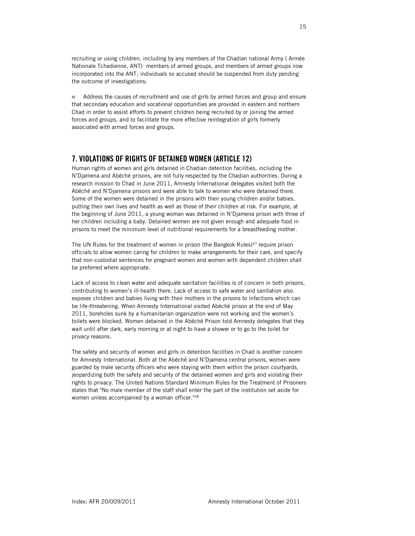recruiting or using children, including by any members of the Chadian national Army ( Armée Nationale Tchadienne, ANT) members of armed groups, and members of armed groups now incorporated into the ANT; individuals so accused should be suspended from duty pending the outcome of investigations;

Address the causes of recruitment and use of girls by armed forces and group and ensure that secondary education and vocational opportunities are provided in eastern and northern Chad in order to assist efforts to prevent children being recruited by or joining the armed forces and groups, and to facilitate the more effective reintegration of girls formerly associated with armed forces and groups.

#### **7. VIOLATIONS OF RIGHTS OF DETAINED WOMEN (ARTICLE 12)**

Human rights of women and girls detained in Chadian detention facilities, including the N'Djamena and Abéché prisons, are not fully respected by the Chadian authorities. During a research mission to Chad in June 2011, Amnesty International delegates visited both the Abéché and N'Djamena prisons and were able to talk to women who were detained there. Some of the women were detained in the prisons with their young children and/or babies, putting their own lives and health as well as those of their children at risk. For example, at the beginning of June 2011, a young woman was detained in N'Djamena prison with three of her children including a baby. Detained women are not given enough and adequate food in prisons to meet the minimum level of nutritional requirements for a breastfeeding mother.

The UN Rules for the treatment of women in prison (the Bangkok Rules)<sup>27</sup> require prison officials to allow women caring for children to make arrangements for their care, and specify that non-custodial sentences for pregnant women and women with dependent children shall be preferred where appropriate.

Lack of access to clean water and adequate sanitation facilities is of concern in both prisons, contributing to women's ill-health there. Lack of access to safe water and sanitation also exposes children and babies living with their mothers in the prisons to infections which can be life-threatening. When Amnesty International visited Abéché prison at the end of May 2011, boreholes sunk by a humanitarian organization were not working and the women's toilets were blocked. Women detained in the Abéché Prison told Amnesty delegates that they wait until after dark, early morning or at night to have a shower or to go to the toilet for privacy reasons.

The safety and security of women and girls in detention facilities in Chad is another concern for Amnesty International. Both at the Abéché and N'Djamena central prisons, women were guarded by male security officers who were staying with them within the prison courtyards, jeopardizing both the safety and security of the detained women and girls and violating their rights to privacy. The United Nations Standard Minimum Rules for the Treatment of Prisoners states that "No male member of the staff shall enter the part of the institution set aside for women unless accompanied by a woman officer."<sup>28</sup>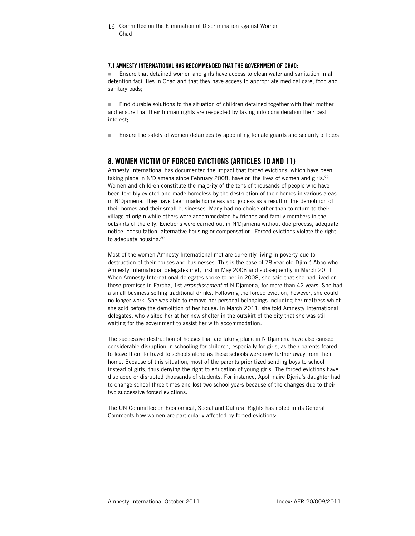#### **7.1 AMNESTY INTERNATIONAL HAS RECOMMENDED THAT THE GOVERNMENT OF CHAD:**

 Ensure that detained women and girls have access to clean water and sanitation in all detention facilities in Chad and that they have access to appropriate medical care, food and sanitary pads;

**Find durable solutions to the situation of children detained together with their mother** and ensure that their human rights are respected by taking into consideration their best interest;

Ensure the safety of women detainees by appointing female guards and security officers.

#### **8. WOMEN VICTIM OF FORCED EVICTIONS (ARTICLES 10 AND 11)**

Amnesty International has documented the impact that forced evictions, which have been taking place in N'Djamena since February 2008, have on the lives of women and girls.<sup>29</sup> Women and children constitute the majority of the tens of thousands of people who have been forcibly evicted and made homeless by the destruction of their homes in various areas in N'Djamena. They have been made homeless and jobless as a result of the demolition of their homes and their small businesses. Many had no choice other than to return to their village of origin while others were accommodated by friends and family members in the outskirts of the city. Evictions were carried out in N'Djamena without due process, adequate notice, consultation, alternative housing or compensation. Forced evictions violate the right to adequate housing.<sup>30</sup>

Most of the women Amnesty International met are currently living in poverty due to destruction of their houses and businesses. This is the case of 78 year-old Djimié Abbo who Amnesty International delegates met, first in May 2008 and subsequently in March 2011. When Amnesty International delegates spoke to her in 2008, she said that she had lived on these premises in Farcha, 1st *arrondissement* of N'Djamena, for more than 42 years. She had a small business selling traditional drinks. Following the forced eviction, however, she could no longer work. She was able to remove her personal belongings including her mattress which she sold before the demolition of her house. In March 2011, she told Amnesty International delegates, who visited her at her new shelter in the outskirt of the city that she was still waiting for the government to assist her with accommodation.

The successive destruction of houses that are taking place in N'Djamena have also caused considerable disruption in schooling for children, especially for girls, as their parents feared to leave them to travel to schools alone as these schools were now further away from their home. Because of this situation, most of the parents prioritized sending boys to school instead of girls, thus denying the right to education of young girls. The forced evictions have displaced or disrupted thousands of students. For instance, Apollinaire Djeria's daughter had to change school three times and lost two school years because of the changes due to their two successive forced evictions.

The UN Committee on Economical, Social and Cultural Rights has noted in its General Comments how women are particularly affected by forced evictions: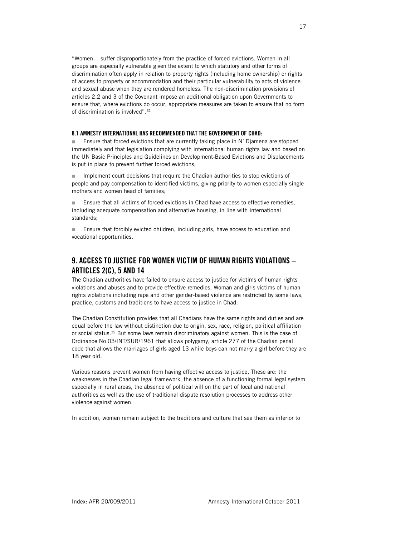"Women… suffer disproportionately from the practice of forced evictions. Women in all groups are especially vulnerable given the extent to which statutory and other forms of discrimination often apply in relation to property rights (including home ownership) or rights of access to property or accommodation and their particular vulnerability to acts of violence and sexual abuse when they are rendered homeless. The non-discrimination provisions of articles 2.2 and 3 of the Covenant impose an additional obligation upon Governments to ensure that, where evictions do occur, appropriate measures are taken to ensure that no form of discrimination is involved".<sup>31</sup>

#### **8.1 AMNESTY INTERNATIONAL HAS RECOMMENDED THAT THE GOVERNMENT OF CHAD:**

**Ensure that forced evictions that are currently taking place in N' Djamena are stopped** immediately and that legislation complying with international human rights law and based on the UN Basic Principles and Guidelines on Development-Based Evictions and Displacements is put in place to prevent further forced evictions;

**IMPLEM** Implement court decisions that require the Chadian authorities to stop evictions of people and pay compensation to identified victims, giving priority to women especially single mothers and women head of families;

 Ensure that all victims of forced evictions in Chad have access to effective remedies, including adequate compensation and alternative housing, in line with international standards;

**Ensure that forcibly evicted children, including girls, have access to education and** vocational opportunities.

#### **9. ACCESS TO JUSTICE FOR WOMEN VICTIM OF HUMAN RIGHTS VIOLATIONS – ARTICLES 2(C), 5 AND 14**

The Chadian authorities have failed to ensure access to justice for victims of human rights violations and abuses and to provide effective remedies. Woman and girls victims of human rights violations including rape and other gender-based violence are restricted by some laws, practice, customs and traditions to have access to justice in Chad.

The Chadian Constitution provides that all Chadians have the same rights and duties and are equal before the law without distinction due to origin, sex, race, religion, political affiliation or social status.<sup>32</sup> But some laws remain discriminatory against women. This is the case of Ordinance No 03/INT/SUR/1961 that allows polygamy, article 277 of the Chadian penal code that allows the marriages of girls aged 13 while boys can not marry a girl before they are 18 year old.

Various reasons prevent women from having effective access to justice. These are: the weaknesses in the Chadian legal framework, the absence of a functioning formal legal system especially in rural areas, the absence of political will on the part of local and national authorities as well as the use of traditional dispute resolution processes to address other violence against women.

In addition, women remain subject to the traditions and culture that see them as inferior to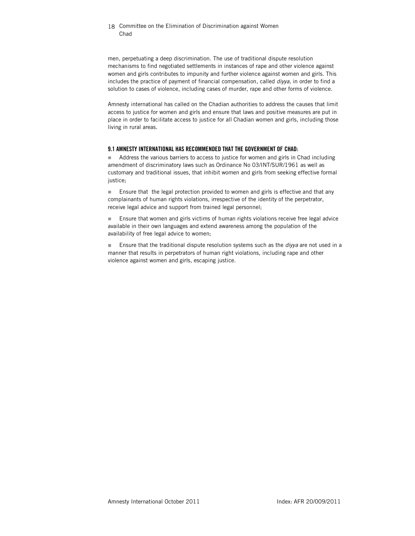men, perpetuating a deep discrimination. The use of traditional dispute resolution mechanisms to find negotiated settlements in instances of rape and other violence against women and girls contributes to impunity and further violence against women and girls. This includes the practice of payment of financial compensation, called *diyya,* in order to find a solution to cases of violence, including cases of murder, rape and other forms of violence.

Amnesty international has called on the Chadian authorities to address the causes that limit access to justice for women and girls and ensure that laws and positive measures are put in place in order to facilitate access to justice for all Chadian women and girls, including those living in rural areas.

#### **9.1 AMNESTY INTERNATIONAL HAS RECOMMENDED THAT THE GOVERNMENT OF CHAD:**

 Address the various barriers to access to justice for women and girls in Chad including amendment of discriminatory laws such as Ordinance No 03/INT/SUR/1961 as well as customary and traditional issues, that inhibit women and girls from seeking effective formal justice;

**Ensure that the legal protection provided to women and girls is effective and that any** complainants of human rights violations, irrespective of the identity of the perpetrator, receive legal advice and support from trained legal personnel;

**Ensure that women and girls victims of human rights violations receive free legal advice** available in their own languages and extend awareness among the population of the availability of free legal advice to women;

 Ensure that the traditional dispute resolution systems such as the *diyya* are not used in a manner that results in perpetrators of human right violations, including rape and other violence against women and girls, escaping justice.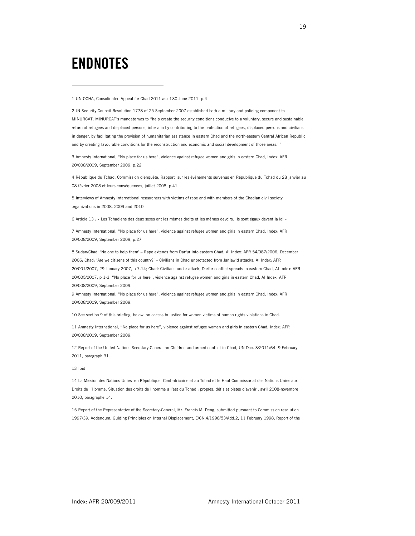### **ENDNOTES**

-

1 UN OCHA, Consolidated Appeal for Chad 2011 as of 30 June 2011, p.4

2UN Security Council Resolution 1778 of 25 September 2007 established both a military and policing component to MINURCAT. MINURCAT's mandate was to "help create the security conditions conducive to a voluntary, secure and sustainable return of refugees and displaced persons, inter alia by contributing to the protection of refugees, displaced persons and civilians in danger, by facilitating the provision of humanitarian assistance in eastern Chad and the north-eastern Central African Republic and by creating favourable conditions for the reconstruction and economic and social development of those areas."'

3 Amnesty International, "No place for us here", violence against refugee women and girls in eastern Chad, Index: AFR 20/008/2009, September 2009, p.22

4 République du Tchad, Commission d'enquête, Rapport sur les événements survenus en République du Tchad du 28 janvier au 08 février 2008 et leurs conséquences, juillet 2008, p.41

5 Interviews of Amnesty International researchers with victims of rape and with members of the Chadian civil society organizations in 2008, 2009 and 2010

6 Article 13 : « Les Tchadiens des deux sexes ont les mêmes droits et les mêmes devoirs. Ils sont égaux devant la loi »

7 Amnesty International, "No place for us here", violence against refugee women and girls in eastern Chad, Index: AFR 20/008/2009, September 2009, p.27

8 Sudan/Chad: 'No one to help them' – Rape extends from Darfur into eastern Chad, AI Index: AFR 54/087/2006, December 2006; Chad: 'Are we citizens of this country?' – Civilians in Chad unprotected from Janjawid attacks, AI Index: AFR 20/001/2007, 29 January 2007, p 7-14; Chad: Civilians under attack, Darfur conflict spreads to eastern Chad, AI Index: AFR 20/005/2007, p 1-3; "No place for us here", violence against refugee women and girls in eastern Chad, AI Index: AFR 20/008/2009, September 2009.

9 Amnesty International, "No place for us here", violence against refugee women and girls in eastern Chad, Index: AFR 20/008/2009, September 2009.

10 See section 9 of this briefing, below, on access to justice for women victims of human rights violations in Chad.

11 Amnesty International, "No place for us here", violence against refugee women and girls in eastern Chad, Index: AFR 20/008/2009, September 2009.

12 Report of the United Nations Secretary-General on Children and armed conflict in Chad, UN Doc. S/2011/64, 9 February 2011, paragraph 31.

#### 13 Ibid

14 La Mission des Nations Unies en République Centrafricaine et au Tchad et le Haut Commissariat des Nations Unies aux Droits de l'Homme, Situation des droits de l'homme a l'est du Tchad : progrès, défis et pistes d'avenir , avril 2008-novembre 2010, paragraphe 14.

15 Report of the Representative of the Secretary-General, Mr. Francis M. Deng, submitted pursuant to Commission resolution 1997/39, Addendum, Guiding Principles on Internal Displacement, E/CN.4/1998/53/Add.2, 11 February 1998, Report of the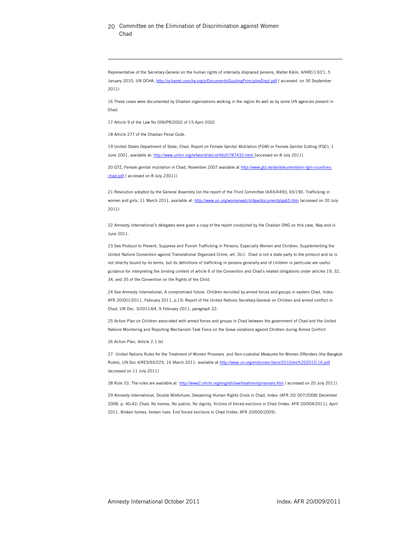Representative of the Secretary-General on the human rights of internally displaced persons, Walter Kälin, A/HRC/13/21, 5 January 2010, UN OCHA, http://ochanet.unocha.org/p/Documents/GuidingPrinciplesDispl.pdf ( accessed on 30 September 2011)

16 These cases were documented by Chadian organizations working in the region As well as by some UN agencies present in Chad.

17 Article 9 of the Law No 006/PR/2002 of 15 April 2002

18 Article 277 of the Chadian Penal Code.

-

19 United States Department of State, Chad: Report on Female Genital Mutilation (FGM) or Female Genital Cutting (FGC), 1 June 2001, available at: http://www.unhcr.org/refworld/docid/46d5787432.html [accessed on 8 July 2011]

20 GTZ, Female genital mutilation in Chad, November 2007 available at http://www.gtz.de/de/dokumente/en-fgm-countrieschad.pdf ( accessed on 8 July 23011)

21 Resolution adopted by the General Assembly [on the report of the Third Committee (A/65/449)], 65/190. Trafficking in women and girls, 11 March 2011, available at: http://www.un.org/womenwatch/daw/documents/ga65.htm (accessed on 20 July 2011)

22 Amnesty International's delegates were given a copy of the report conducted by the Chadian ONG on this case, May and in June 2011.

23 See Protocol to Prevent, Suppress and Punish Trafficking in Persons, Especially Women and Children, Supplementing the United Nations Convention against Transnational Organized Crime, art. 3(c). Chad is not a state party to the protocol and so is not directly bound by its terms, but its definitions of trafficking in persons generally and of children in particular are useful guidance for interpreting the binding content of article 6 of the Convention and Chad's related obligations under articles 19, 32, 34, and 35 of the Convention on the Rights of the Child.

24 See Amnesty International, A compromised future. Children recruited by armed forces and groups in eastern Chad, Index: AFR 20/001/2011, February 2011, p.19; Report of the United Nations Secretary-General on Children and armed conflict in Chad, UN Doc. S/2011/64, 9 February 2011, paragraph 22.

25 Action Plan on Children associated with armed forces and groups in Chad between the government of Chad and the United Nations Monitoring and Reporting Mechanism Task Force on the Grave violations against Children during Armed Conflict

26 Action Plan, Article 2.1 (e)

27 United Nations Rules for the Treatment of Women Prisoners and Non-custodial Measures for Women Offenders (the Bangkok Rules), UN Doc A/RES/65/229, 16 March 2011: available at http://www.un.org/en/ecosoc/docs/2010/res%202010-16.pdf (accessed on 11 July 2011)

28 Rule 53. The rules are available at http://www2.ohchr.org/english/law/treatmentprisoners.htm (accessed on 20 July 2011)

29 Amnesty International, Double Misfortune. Deepening Human Rights Crisis in Chad, Index: (AFR 20/ 007/2008) December 2008, p. 40-42; Chad, No homes, No justice, No dignity, Victims of forced evictions in Chad (Index: AFR 20/004/2011), April 2011, Broken homes, broken lives: End forced evictions in Chad (Index: AFR 20/005/2009).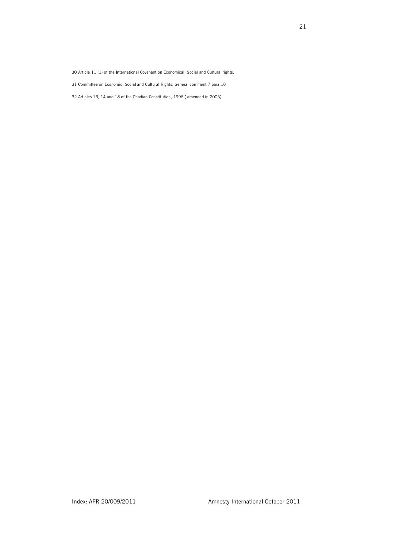30 Article 11 (1) of the International Covenant on Economical, Social and Cultural rights.

31 Committee on Economic, Social and Cultural Rights, General comment 7 para.10

-

32 Articles 13, 14 and 18 of the Chadian Constitution, 1996 ( amended in 2005)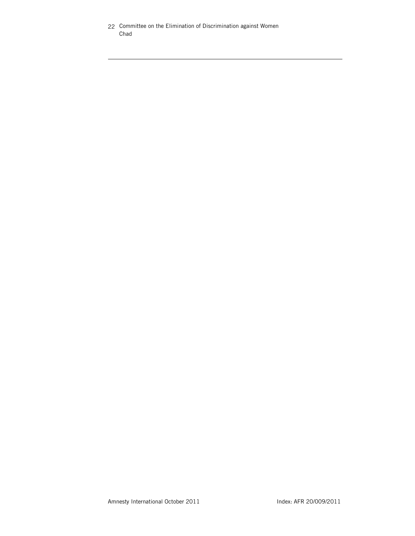-